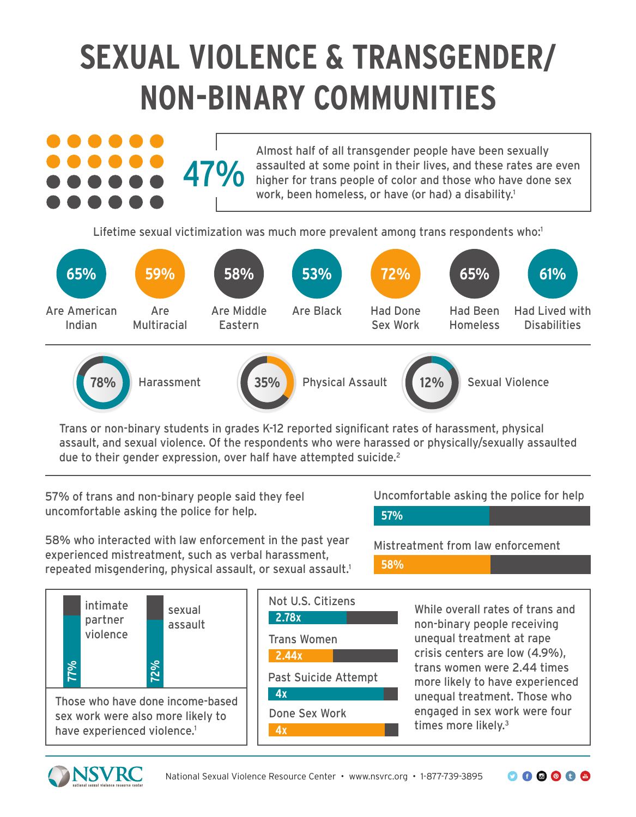# **SEXUAL VIOLENCE & TRANSGENDER/ NON-BINARY COMMUNITIES**



Lifetime sexual victimization was much more prevalent among trans respondents who:<sup>1</sup>



Trans or non-binary students in grades K-12 reported significant rates of harassment, physical assault, and sexual violence. Of the respondents who were harassed or physically/sexually assaulted due to their gender expression, over half have attempted suicide.<sup>2</sup>

57% of trans and non-binary people said they feel uncomfortable asking the police for help.

Uncomfortable asking the police for help **57%**

58% who interacted with law enforcement in the past year experienced mistreatment, such as verbal harassment, repeated misgendering, physical assault, or sexual assault.<sup>1</sup>

Mistreatment from law enforcement **58%**



Not U.S. Citizens

Trans Women

**2.44x**

**2.78x**

**4x**

**4x** Past Suicide Attempt

Done Sex Work

While overall rates of trans and non-binary people receiving unequal treatment at rape crisis centers are low (4.9%), trans women were 2.44 times more likely to have experienced unequal treatment. Those who engaged in sex work were four times more likely.3

 $O O O O O O$